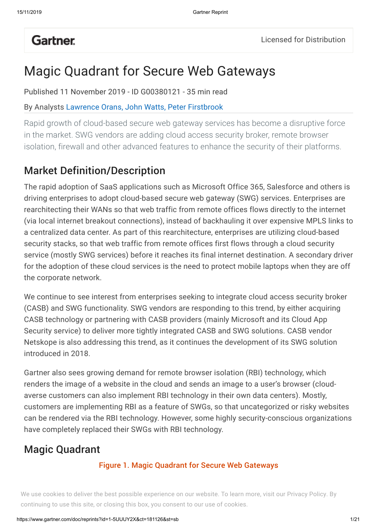# **Gartner**.

# Magic Quadrant for Secure Web Gateways

Published 11 November 2019 - ID G00380121 - 35 min read

By Analysts Lawrence Orans, John Watts, Peter Firstbrook

Rapid growth of cloud-based secure web gateway services has become a disruptive force in the market. SWG vendors are adding cloud access security broker, remote browser isolation, firewall and other advanced features to enhance the security of their platforms.

## Market Definition/Description

The rapid adoption of SaaS applications such as Microsoft Office 365, Salesforce and others is driving enterprises to adopt cloud-based secure web gateway (SWG) services. Enterprises are rearchitecting their WANs so that web traffic from remote offices flows directly to the internet (via local internet breakout connections), instead of backhauling it over expensive MPLS links to a centralized data center. As part of this rearchitecture, enterprises are utilizing cloud-based security stacks, so that web traffic from remote offices first flows through a cloud security service (mostly SWG services) before it reaches its final internet destination. A secondary driver for the adoption of these cloud services is the need to protect mobile laptops when they are off the corporate network.

We continue to see interest from enterprises seeking to integrate cloud access security broker (CASB) and SWG functionality. SWG vendors are responding to this trend, by either acquiring CASB technology or partnering with CASB providers (mainly Microsoft and its Cloud App Security service) to deliver more tightly integrated CASB and SWG solutions. CASB vendor Netskope is also addressing this trend, as it continues the development of its SWG solution introduced in 2018.

Gartner also sees growing demand for remote browser isolation (RBI) technology, which renders the image of a website in the cloud and sends an image to a user's browser (cloudaverse customers can also implement RBI technology in their own data centers). Mostly, customers are implementing RBI as a feature of SWGs, so that uncategorized or risky websites can be rendered via the RBI technology. However, some highly security-conscious organizations have completely replaced their SWGs with RBI technology.

## Magic Quadrant

#### Figure 1. Magic Quadrant for Secure Web Gateways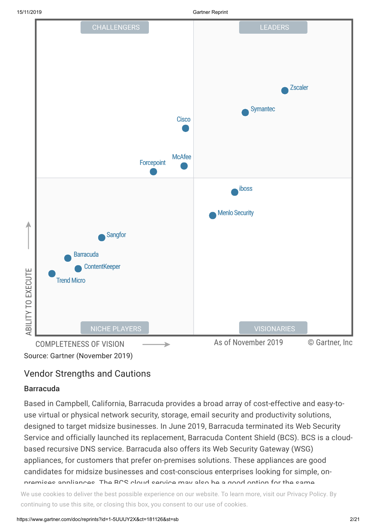

### Vendor Strengths and Cautions

#### Barracuda

Based in Campbell, California, Barracuda provides a broad array of cost-effective and easy-touse virtual or physical network security, storage, email security and productivity solutions, designed to target midsize businesses. In June 2019, Barracuda terminated its Web Security Service and officially launched its replacement, Barracuda Content Shield (BCS). BCS is a cloudbased recursive DNS service. Barracuda also offers its Web Security Gateway (WSG) appliances, for customers that prefer on-premises solutions. These appliances are good candidates for midsize businesses and cost-conscious enterprises looking for simple, onpremises appliances. The BCS cloud service may also be a good option for the same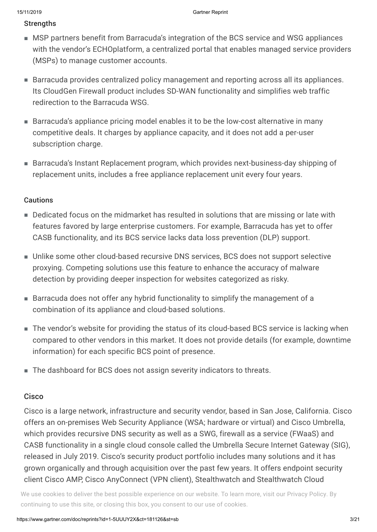#### **Strengths**

- MSP partners benefit from Barracuda's integration of the BCS service and WSG appliances with the vendor's ECHOplatform, a centralized portal that enables managed service providers (MSPs) to manage customer accounts.
- Barracuda provides centralized policy management and reporting across all its appliances. Its CloudGen Firewall product includes SD-WAN functionality and simplifies web traffic redirection to the Barracuda WSG.
- Barracuda's appliance pricing model enables it to be the low-cost alternative in many competitive deals. It charges by appliance capacity, and it does not add a per-user subscription charge.
- Barracuda's Instant Replacement program, which provides next-business-day shipping of replacement units, includes a free appliance replacement unit every four years.

#### Cautions

- Dedicated focus on the midmarket has resulted in solutions that are missing or late with features favored by large enterprise customers. For example, Barracuda has yet to offer CASB functionality, and its BCS service lacks data loss prevention (DLP) support.
- Unlike some other cloud-based recursive DNS services, BCS does not support selective proxying. Competing solutions use this feature to enhance the accuracy of malware detection by providing deeper inspection for websites categorized as risky.
- Barracuda does not offer any hybrid functionality to simplify the management of a combination of its appliance and cloud-based solutions.
- The vendor's website for providing the status of its cloud-based BCS service is lacking when compared to other vendors in this market. It does not provide details (for example, downtime information) for each specific BCS point of presence.
- The dashboard for BCS does not assign severity indicators to threats.

#### **Cisco**

Cisco is a large network, infrastructure and security vendor, based in San Jose, California. Cisco offers an on-premises Web Security Appliance (WSA; hardware or virtual) and Cisco Umbrella, which provides recursive DNS security as well as a SWG, firewall as a service (FWaaS) and CASB functionality in a single cloud console called the Umbrella Secure Internet Gateway (SIG), released in July 2019. Cisco's security product portfolio includes many solutions and it has grown organically and through acquisition over the past few years. It offers endpoint security client Cisco AMP, Cisco AnyConnect (VPN client), Stealthwatch and Stealthwatch Cloud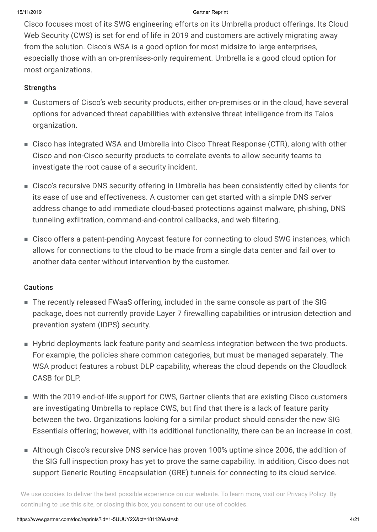Cisco focuses most of its SWG engineering efforts on its Umbrella product offerings. Its Cloud Web Security (CWS) is set for end of life in 2019 and customers are actively migrating away from the solution. Cisco's WSA is a good option for most midsize to large enterprises, especially those with an on-premises-only requirement. Umbrella is a good cloud option for most organizations.

#### **Strengths**

- Customers of Cisco's web security products, either on-premises or in the cloud, have several options for advanced threat capabilities with extensive threat intelligence from its Talos organization.
- Cisco has integrated WSA and Umbrella into Cisco Threat Response (CTR), along with other Cisco and non-Cisco security products to correlate events to allow security teams to investigate the root cause of a security incident.
- Cisco's recursive DNS security offering in Umbrella has been consistently cited by clients for its ease of use and effectiveness. A customer can get started with a simple DNS server address change to add immediate cloud-based protections against malware, phishing, DNS tunneling exfiltration, command-and-control callbacks, and web filtering.
- Cisco offers a patent-pending Anycast feature for connecting to cloud SWG instances, which allows for connections to the cloud to be made from a single data center and fail over to another data center without intervention by the customer.

#### **Cautions**

- The recently released FWaaS offering, included in the same console as part of the SIG package, does not currently provide Layer 7 firewalling capabilities or intrusion detection and prevention system (IDPS) security.
- Hybrid deployments lack feature parity and seamless integration between the two products. For example, the policies share common categories, but must be managed separately. The WSA product features a robust DLP capability, whereas the cloud depends on the Cloudlock CASB for DLP
- With the 2019 end-of-life support for CWS, Gartner clients that are existing Cisco customers are investigating Umbrella to replace CWS, but find that there is a lack of feature parity between the two. Organizations looking for a similar product should consider the new SIG Essentials offering; however, with its additional functionality, there can be an increase in cost.
- Although Cisco's recursive DNS service has proven 100% uptime since 2006, the addition of the SIG full inspection proxy has yet to prove the same capability. In addition, Cisco does not support Generic Routing Encapsulation (GRE) tunnels for connecting to its cloud service.

We use cookies to deliver the best possible experience on our website. To learn more, visit our [Privacy](https://www.gartner.com/en/about/policies/privacy) Policy. By<br>محمد المساحة المساحة المساحة المساحة المساحة المساحة المساحة المساحة المساحة المساحة المساحة المساحة المساح continuing to use this site, or closing this box, you consent to our use of cookies.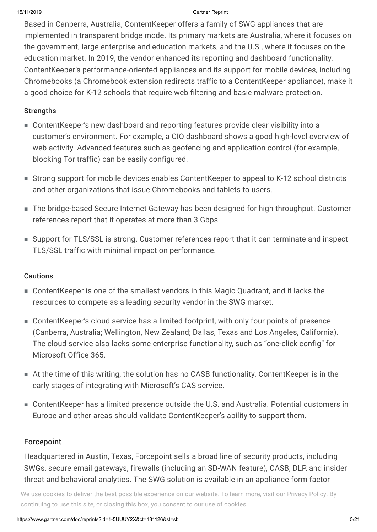Based in Canberra, Australia, ContentKeeper offers a family of SWG appliances that are implemented in transparent bridge mode. Its primary markets are Australia, where it focuses on the government, large enterprise and education markets, and the U.S., where it focuses on the education market. In 2019, the vendor enhanced its reporting and dashboard functionality. ContentKeeper's performance-oriented appliances and its support for mobile devices, including Chromebooks (a Chromebook extension redirects traffic to a ContentKeeper appliance), make it a good choice for K-12 schools that require web filtering and basic malware protection.

#### **Strengths**

- ContentKeeper's new dashboard and reporting features provide clear visibility into a customer's environment. For example, a CIO dashboard shows a good high-level overview of web activity. Advanced features such as geofencing and application control (for example, blocking Tor traffic) can be easily configured.
- Strong support for mobile devices enables ContentKeeper to appeal to K-12 school districts and other organizations that issue Chromebooks and tablets to users.
- The bridge-based Secure Internet Gateway has been designed for high throughput. Customer references report that it operates at more than 3 Gbps.
- Support for TLS/SSL is strong. Customer references report that it can terminate and inspect TLS/SSL traffic with minimal impact on performance.

#### **Cautions**

- ContentKeeper is one of the smallest vendors in this Magic Quadrant, and it lacks the resources to compete as a leading security vendor in the SWG market.
- ContentKeeper's cloud service has a limited footprint, with only four points of presence (Canberra, Australia; Wellington, New Zealand; Dallas, Texas and Los Angeles, California). The cloud service also lacks some enterprise functionality, such as "one-click config" for Microsoft Office 365.
- At the time of this writing, the solution has no CASB functionality. ContentKeeper is in the early stages of integrating with Microsoft's CAS service.
- ContentKeeper has a limited presence outside the U.S. and Australia. Potential customers in Europe and other areas should validate ContentKeeper's ability to support them.

#### Forcepoint

Headquartered in Austin, Texas, Forcepoint sells a broad line of security products, including SWGs, secure email gateways, firewalls (including an SD-WAN feature), CASB, DLP, and insider threat and behavioral analytics. The SWG solution is available in an appliance form factor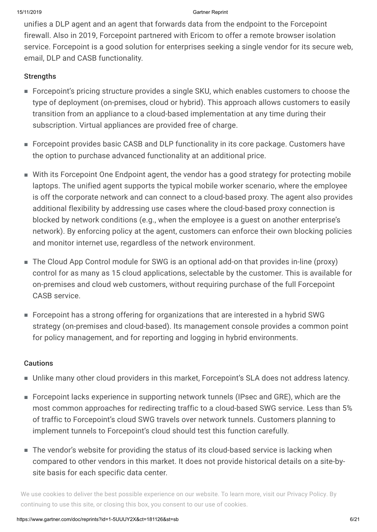unifies a DLP agent and an agent that forwards data from the endpoint to the Forcepoint firewall. Also in 2019, Forcepoint partnered with Ericom to offer a remote browser isolation service. Forcepoint is a good solution for enterprises seeking a single vendor for its secure web, email, DLP and CASB functionality.

#### **Strengths**

- Forcepoint's pricing structure provides a single SKU, which enables customers to choose the type of deployment (on-premises, cloud or hybrid). This approach allows customers to easily transition from an appliance to a cloud-based implementation at any time during their subscription. Virtual appliances are provided free of charge.
- Forcepoint provides basic CASB and DLP functionality in its core package. Customers have the option to purchase advanced functionality at an additional price.
- With its Forcepoint One Endpoint agent, the vendor has a good strategy for protecting mobile laptops. The unified agent supports the typical mobile worker scenario, where the employee is off the corporate network and can connect to a cloud-based proxy. The agent also provides additional flexibility by addressing use cases where the cloud-based proxy connection is blocked by network conditions (e.g., when the employee is a guest on another enterprise's network). By enforcing policy at the agent, customers can enforce their own blocking policies and monitor internet use, regardless of the network environment.
- The Cloud App Control module for SWG is an optional add-on that provides in-line (proxy) control for as many as 15 cloud applications, selectable by the customer. This is available for on-premises and cloud web customers, without requiring purchase of the full Forcepoint CASB service.
- Forcepoint has a strong offering for organizations that are interested in a hybrid SWG strategy (on-premises and cloud-based). Its management console provides a common point for policy management, and for reporting and logging in hybrid environments.

#### **Cautions**

- Unlike many other cloud providers in this market, Forcepoint's SLA does not address latency.
- Forcepoint lacks experience in supporting network tunnels (IPsec and GRE), which are the most common approaches for redirecting traffic to a cloud-based SWG service. Less than 5% of traffic to Forcepoint's cloud SWG travels over network tunnels. Customers planning to implement tunnels to Forcepoint's cloud should test this function carefully.
- The vendor's website for providing the status of its cloud-based service is lacking when compared to other vendors in this market. It does not provide historical details on a site-bysite basis for each specific data center.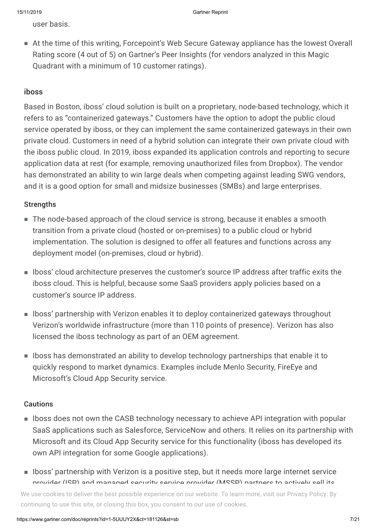user basis.

At the time of this writing, Forcepoint's Web Secure Gateway appliance has the lowest Overall ■ Rating score (4 out of 5) on Gartner's Peer Insights (for vendors analyzed in this Magic Quadrant with a minimum of 10 customer ratings).

#### iboss

Based in Boston, iboss' cloud solution is built on a proprietary, node-based technology, which it refers to as "containerized gateways." Customers have the option to adopt the public cloud service operated by iboss, or they can implement the same containerized gateways in their own private cloud. Customers in need of a hybrid solution can integrate their own private cloud with the iboss public cloud. In 2019, iboss expanded its application controls and reporting to secure application data at rest (for example, removing unauthorized files from Dropbox). The vendor has demonstrated an ability to win large deals when competing against leading SWG vendors, and it is a good option for small and midsize businesses (SMBs) and large enterprises.

#### **Strengths**

- The node-based approach of the cloud service is strong, because it enables a smooth transition from a private cloud (hosted or on-premises) to a public cloud or hybrid implementation. The solution is designed to offer all features and functions across any deployment model (on-premises, cloud or hybrid).
- Iboss' cloud architecture preserves the customer's source IP address after traffic exits the iboss cloud. This is helpful, because some SaaS providers apply policies based on a customer's source IP address.
- Iboss' partnership with Verizon enables it to deploy containerized gateways throughout Verizon's worldwide infrastructure (more than 110 points of presence). Verizon has also licensed the iboss technology as part of an OEM agreement.
- Iboss has demonstrated an ability to develop technology partnerships that enable it to quickly respond to market dynamics. Examples include Menlo Security, FireEye and Microsoft's Cloud App Security service.

#### **Cautions**

- Iboss does not own the CASB technology necessary to achieve API integration with popular SaaS applications such as Salesforce, ServiceNow and others. It relies on its partnership with Microsoft and its Cloud App Security service for this functionality (iboss has developed its own API integration for some Google applications).
- Iboss' partnership with Verizon is a positive step, but it needs more large internet service provider (ISD) and managed security service provider (MSSD) partners to actively sell its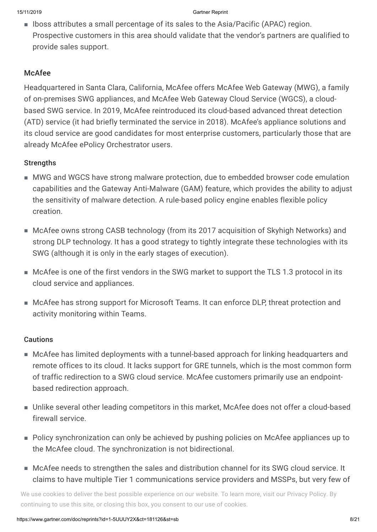■ Iboss attributes a small percentage of its sales to the Asia/Pacific (APAC) region. Prospective customers in this area should validate that the vendor's partners are qualified to provide sales support.

### McAfee

Headquartered in Santa Clara, California, McAfee offers McAfee Web Gateway (MWG), a family of on-premises SWG appliances, and McAfee Web Gateway Cloud Service (WGCS), a cloudbased SWG service. In 2019, McAfee reintroduced its cloud-based advanced threat detection (ATD) service (it had briefly terminated the service in 2018). McAfee's appliance solutions and its cloud service are good candidates for most enterprise customers, particularly those that are already McAfee ePolicy Orchestrator users.

#### **Strengths**

- MWG and WGCS have strong malware protection, due to embedded browser code emulation capabilities and the Gateway Anti-Malware (GAM) feature, which provides the ability to adjust the sensitivity of malware detection. A rule-based policy engine enables flexible policy creation.
- McAfee owns strong CASB technology (from its 2017 acquisition of Skyhigh Networks) and strong DLP technology. It has a good strategy to tightly integrate these technologies with its SWG (although it is only in the early stages of execution).
- McAfee is one of the first vendors in the SWG market to support the TLS 1.3 protocol in its cloud service and appliances.
- McAfee has strong support for Microsoft Teams. It can enforce DLP, threat protection and activity monitoring within Teams.

#### Cautions

- McAfee has limited deployments with a tunnel-based approach for linking headquarters and remote offices to its cloud. It lacks support for GRE tunnels, which is the most common form of traffic redirection to a SWG cloud service. McAfee customers primarily use an endpointbased redirection approach.
- Unlike several other leading competitors in this market, McAfee does not offer a cloud-based firewall service.
- Policy synchronization can only be achieved by pushing policies on McAfee appliances up to the McAfee cloud. The synchronization is not bidirectional.
- McAfee needs to strengthen the sales and distribution channel for its SWG cloud service. It claims to have multiple Tier 1 communications service providers and MSSPs, but very few of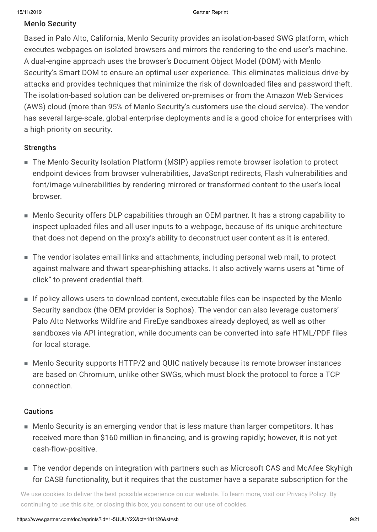#### Menlo Security

Based in Palo Alto, California, Menlo Security provides an isolation-based SWG platform, which executes webpages on isolated browsers and mirrors the rendering to the end user's machine. A dual-engine approach uses the browser's Document Object Model (DOM) with Menlo Security's Smart DOM to ensure an optimal user experience. This eliminates malicious drive-by attacks and provides techniques that minimize the risk of downloaded files and password theft. The isolation-based solution can be delivered on-premises or from the Amazon Web Services (AWS) cloud (more than 95% of Menlo Security's customers use the cloud service). The vendor has several large-scale, global enterprise deployments and is a good choice for enterprises with a high priority on security.

#### **Strengths**

- The Menlo Security Isolation Platform (MSIP) applies remote browser isolation to protect endpoint devices from browser vulnerabilities, JavaScript redirects, Flash vulnerabilities and font/image vulnerabilities by rendering mirrored or transformed content to the user's local browser.
- Menlo Security offers DLP capabilities through an OEM partner. It has a strong capability to inspect uploaded files and all user inputs to a webpage, because of its unique architecture that does not depend on the proxy's ability to deconstruct user content as it is entered.
- The vendor isolates email links and attachments, including personal web mail, to protect against malware and thwart spear-phishing attacks. It also actively warns users at "time of click" to prevent credential theft.
- If policy allows users to download content, executable files can be inspected by the Menlo Security sandbox (the OEM provider is Sophos). The vendor can also leverage customers' Palo Alto Networks Wildfire and FireEye sandboxes already deployed, as well as other sandboxes via API integration, while documents can be converted into safe HTML/PDF files for local storage.
- Menlo Security supports HTTP/2 and QUIC natively because its remote browser instances are based on Chromium, unlike other SWGs, which must block the protocol to force a TCP connection.

#### **Cautions**

- Menlo Security is an emerging vendor that is less mature than larger competitors. It has received more than \$160 million in financing, and is growing rapidly; however, it is not yet cash-flow-positive.
- The vendor depends on integration with partners such as Microsoft CAS and McAfee Skyhigh for CASB functionality, but it requires that the customer have a separate subscription for the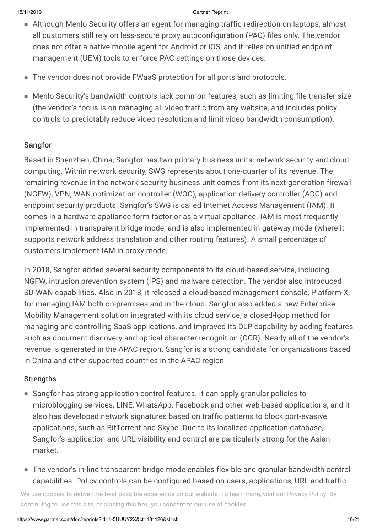- Although Menlo Security offers an agent for managing traffic redirection on laptops, almost all customers still rely on less-secure proxy autoconfiguration (PAC) files only. The vendor does not offer a native mobile agent for Android or iOS, and it relies on unified endpoint management (UEM) tools to enforce PAC settings on those devices.
- The vendor does not provide FWaaS protection for all ports and protocols.
- Menlo Security's bandwidth controls lack common features, such as limiting file transfer size (the vendor's focus is on managing all video traffic from any website, and includes policy controls to predictably reduce video resolution and limit video bandwidth consumption).

### Sangfor

Based in Shenzhen, China, Sangfor has two primary business units: network security and cloud computing. Within network security, SWG represents about one-quarter of its revenue. The remaining revenue in the network security business unit comes from its next-generation firewall (NGFW), VPN, WAN optimization controller (WOC), application delivery controller (ADC) and endpoint security products. Sangfor's SWG is called Internet Access Management (IAM). It comes in a hardware appliance form factor or as a virtual appliance. IAM is most frequently implemented in transparent bridge mode, and is also implemented in gateway mode (where it supports network address translation and other routing features). A small percentage of customers implement IAM in proxy mode.

In 2018, Sangfor added several security components to its cloud-based service, including NGFW, intrusion prevention system (IPS) and malware detection. The vendor also introduced SD-WAN capabilities. Also in 2018, it released a cloud-based management console, Platform-X, for managing IAM both on-premises and in the cloud. Sangfor also added a new Enterprise Mobility Management solution integrated with its cloud service, a closed-loop method for managing and controlling SaaS applications, and improved its DLP capability by adding features such as document discovery and optical character recognition (OCR). Nearly all of the vendor's revenue is generated in the APAC region. Sangfor is a strong candidate for organizations based in China and other supported countries in the APAC region.

#### **Strengths**

- Sangfor has strong application control features. It can apply granular policies to microblogging services, LINE, WhatsApp, Facebook and other web-based applications, and it also has developed network signatures based on traffic patterns to block port-evasive applications, such as BitTorrent and Skype. Due to its localized application database, Sangfor's application and URL visibility and control are particularly strong for the Asian market.
- The vendor's in-line transparent bridge mode enables flexible and granular bandwidth control capabilities. Policy controls can be configured based on users, applications, URL and traffic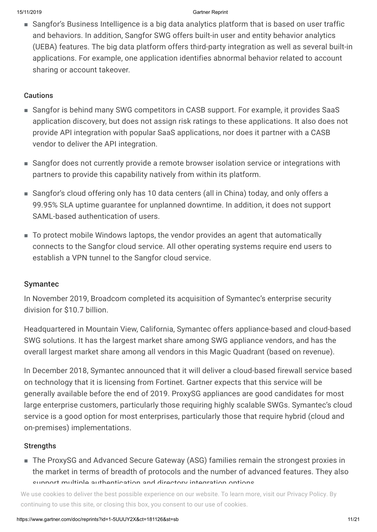■ Sangfor's Business Intelligence is a big data analytics platform that is based on user traffic and behaviors. In addition, Sangfor SWG offers built-in user and entity behavior analytics (UEBA) features. The big data platform offers third-party integration as well as several built-in applications. For example, one application identifies abnormal behavior related to account sharing or account takeover.

#### **Cautions**

- Sangfor is behind many SWG competitors in CASB support. For example, it provides SaaS application discovery, but does not assign risk ratings to these applications. It also does not provide API integration with popular SaaS applications, nor does it partner with a CASB vendor to deliver the API integration.
- Sangfor does not currently provide a remote browser isolation service or integrations with partners to provide this capability natively from within its platform.
- Sangfor's cloud offering only has 10 data centers (all in China) today, and only offers a 99.95% SLA uptime guarantee for unplanned downtime. In addition, it does not support SAML-based authentication of users.
- To protect mobile Windows laptops, the vendor provides an agent that automatically connects to the Sangfor cloud service. All other operating systems require end users to establish a VPN tunnel to the Sangfor cloud service.

#### Symantec

In November 2019, Broadcom completed its acquisition of Symantec's enterprise security division for \$10.7 billion.

Headquartered in Mountain View, California, Symantec offers appliance-based and cloud-based SWG solutions. It has the largest market share among SWG appliance vendors, and has the overall largest market share among all vendors in this Magic Quadrant (based on revenue).

In December 2018, Symantec announced that it will deliver a cloud-based firewall service based on technology that it is licensing from Fortinet. Gartner expects that this service will be generally available before the end of 2019. ProxySG appliances are good candidates for most large enterprise customers, particularly those requiring highly scalable SWGs. Symantec's cloud service is a good option for most enterprises, particularly those that require hybrid (cloud and on-premises) implementations.

#### **Strengths**

■ The ProxySG and Advanced Secure Gateway (ASG) families remain the strongest proxies in the market in terms of breadth of protocols and the number of advanced features. They also support multiple authentication and directory integration options.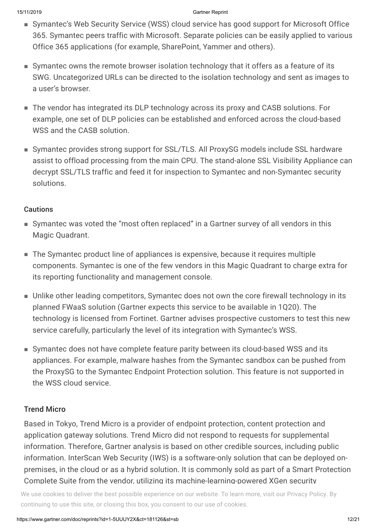- Symantec's Web Security Service (WSS) cloud service has good support for Microsoft Office 365. Symantec peers traffic with Microsoft. Separate policies can be easily applied to various Office 365 applications (for example, SharePoint, Yammer and others).
- Symantec owns the remote browser isolation technology that it offers as a feature of its SWG. Uncategorized URLs can be directed to the isolation technology and sent as images to a user's browser.
- The vendor has integrated its DLP technology across its proxy and CASB solutions. For example, one set of DLP policies can be established and enforced across the cloud-based WSS and the CASB solution.
- Symantec provides strong support for SSL/TLS. All ProxySG models include SSL hardware assist to offload processing from the main CPU. The stand-alone SSL Visibility Appliance can decrypt SSL/TLS traffic and feed it for inspection to Symantec and non-Symantec security solutions.

#### **Cautions**

- Symantec was voted the "most often replaced" in a Gartner survey of all vendors in this Magic Quadrant.
- The Symantec product line of appliances is expensive, because it requires multiple components. Symantec is one of the few vendors in this Magic Quadrant to charge extra for its reporting functionality and management console.
- Unlike other leading competitors, Symantec does not own the core firewall technology in its planned FWaaS solution (Gartner expects this service to be available in 1Q20). The technology is licensed from Fortinet. Gartner advises prospective customers to test this new service carefully, particularly the level of its integration with Symantec's WSS.
- Symantec does not have complete feature parity between its cloud-based WSS and its appliances. For example, malware hashes from the Symantec sandbox can be pushed from the ProxySG to the Symantec Endpoint Protection solution. This feature is not supported in the WSS cloud service.

#### Trend Micro

Based in Tokyo, Trend Micro is a provider of endpoint protection, content protection and application gateway solutions. Trend Micro did not respond to requests for supplemental information. Therefore, Gartner analysis is based on other credible sources, including public information. InterScan Web Security (IWS) is a software-only solution that can be deployed onpremises, in the cloud or as a hybrid solution. It is commonly sold as part of a Smart Protection Complete Suite from the vendor, utilizing its machine-learning-powered XGen security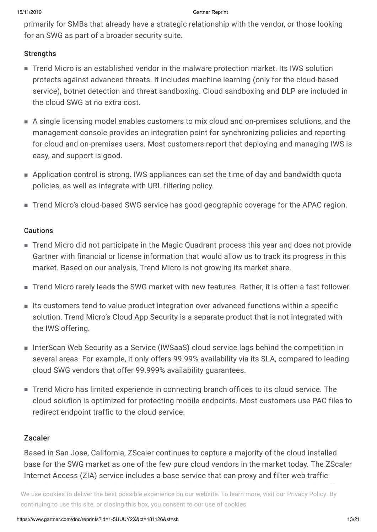primarily for SMBs that already have a strategic relationship with the vendor, or those looking for an SWG as part of a broader security suite.

#### **Strengths**

- Trend Micro is an established vendor in the malware protection market. Its IWS solution protects against advanced threats. It includes machine learning (only for the cloud-based service), botnet detection and threat sandboxing. Cloud sandboxing and DLP are included in the cloud SWG at no extra cost.
- A single licensing model enables customers to mix cloud and on-premises solutions, and the management console provides an integration point for synchronizing policies and reporting for cloud and on-premises users. Most customers report that deploying and managing IWS is easy, and support is good.
- Application control is strong. IWS appliances can set the time of day and bandwidth quota policies, as well as integrate with URL filtering policy.
- Trend Micro's cloud-based SWG service has good geographic coverage for the APAC region.

#### **Cautions**

- Trend Micro did not participate in the Magic Quadrant process this year and does not provide Gartner with financial or license information that would allow us to track its progress in this market. Based on our analysis, Trend Micro is not growing its market share.
- Trend Micro rarely leads the SWG market with new features. Rather, it is often a fast follower.
- $\blacksquare$  Its customers tend to value product integration over advanced functions within a specific solution. Trend Micro's Cloud App Security is a separate product that is not integrated with the IWS offering.
- InterScan Web Security as a Service (IWSaaS) cloud service lags behind the competition in several areas. For example, it only offers 99.99% availability via its SLA, compared to leading cloud SWG vendors that offer 99.999% availability guarantees.
- Trend Micro has limited experience in connecting branch offices to its cloud service. The cloud solution is optimized for protecting mobile endpoints. Most customers use PAC files to redirect endpoint traffic to the cloud service.

#### Zscaler

Based in San Jose, California, ZScaler continues to capture a majority of the cloud installed base for the SWG market as one of the few pure cloud vendors in the market today. The ZScaler Internet Access (ZIA) service includes a base service that can proxy and filter web traffic

optional services that add FWaaS, cloud-based sandboxing, bandwidth control, DLP and other We use cookies to deliver the best possible experience on our website. To learn more, visit our [Privacy](https://www.gartner.com/en/about/policies/privacy) Policy. By continuing to use this site, or closing this box, you consent to our use of cookies.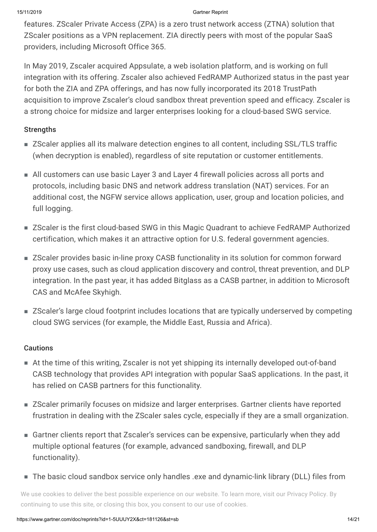features. ZScaler Private Access (ZPA) is a zero trust network access (ZTNA) solution that ZScaler positions as a VPN replacement. ZIA directly peers with most of the popular SaaS providers, including Microsoft Office 365.

In May 2019, Zscaler acquired Appsulate, a web isolation platform, and is working on full integration with its offering. Zscaler also achieved FedRAMP Authorized status in the past year for both the ZIA and ZPA offerings, and has now fully incorporated its 2018 TrustPath acquisition to improve Zscaler's cloud sandbox threat prevention speed and efficacy. Zscaler is a strong choice for midsize and larger enterprises looking for a cloud-based SWG service.

#### **Strengths**

- ZScaler applies all its malware detection engines to all content, including SSL/TLS traffic (when decryption is enabled), regardless of site reputation or customer entitlements.
- All customers can use basic Layer 3 and Layer 4 firewall policies across all ports and protocols, including basic DNS and network address translation (NAT) services. For an additional cost, the NGFW service allows application, user, group and location policies, and full logging.
- ZScaler is the first cloud-based SWG in this Magic Quadrant to achieve FedRAMP Authorized certification, which makes it an attractive option for U.S. federal government agencies.
- ZScaler provides basic in-line proxy CASB functionality in its solution for common forward proxy use cases, such as cloud application discovery and control, threat prevention, and DLP integration. In the past year, it has added Bitglass as a CASB partner, in addition to Microsoft CAS and McAfee Skyhigh.
- ZScaler's large cloud footprint includes locations that are typically underserved by competing cloud SWG services (for example, the Middle East, Russia and Africa).

#### **Cautions**

- At the time of this writing, Zscaler is not yet shipping its internally developed out-of-band CASB technology that provides API integration with popular SaaS applications. In the past, it has relied on CASB partners for this functionality.
- ZScaler primarily focuses on midsize and larger enterprises. Gartner clients have reported frustration in dealing with the ZScaler sales cycle, especially if they are a small organization.
- Gartner clients report that Zscaler's services can be expensive, particularly when they add multiple optional features (for example, advanced sandboxing, firewall, and DLP functionality).
- The basic cloud sandbox service only handles .exe and dynamic-link library (DLL) files from

suspicious sites. However, detailed malware analysis of all file types and other advanced no accocincie to admark me subspecies or performed on our messing repeatmence, field sandbox.<br>continuing to use this site, or closing this box, you consent to our use of cookies. We use cookies to deliver the best possible experience on our website. To learn more, visit our [Privacy](https://www.gartner.com/en/about/policies/privacy) Policy. By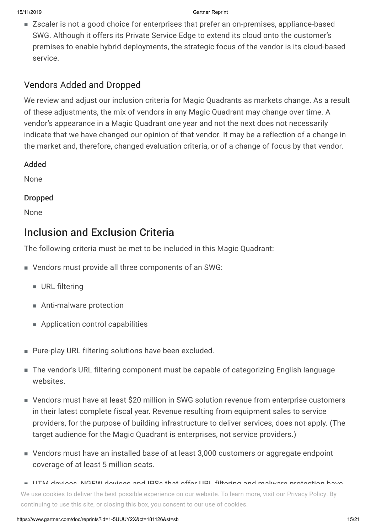■ Zscaler is not a good choice for enterprises that prefer an on-premises, appliance-based SWG. Although it offers its Private Service Edge to extend its cloud onto the customer's premises to enable hybrid deployments, the strategic focus of the vendor is its cloud-based service.

## Vendors Added and Dropped

We review and adjust our inclusion criteria for Magic Quadrants as markets change. As a result of these adjustments, the mix of vendors in any Magic Quadrant may change over time. A vendor's appearance in a Magic Quadrant one year and not the next does not necessarily indicate that we have changed our opinion of that vendor. It may be a reflection of a change in the market and, therefore, changed evaluation criteria, or of a change of focus by that vendor.

#### Added

None

#### Dropped

None

## Inclusion and Exclusion Criteria

The following criteria must be met to be included in this Magic Quadrant:

- Vendors must provide all three components of an SWG:
	- URL filtering
	- Anti-malware protection
	- Application control capabilities
- Pure-play URL filtering solutions have been excluded.
- The vendor's URL filtering component must be capable of categorizing English language websites.
- Vendors must have at least \$20 million in SWG solution revenue from enterprise customers in their latest complete fiscal year. Revenue resulting from equipment sales to service providers, for the purpose of building infrastructure to deliver services, does not apply. (The target audience for the Magic Quadrant is enterprises, not service providers.)
- Vendors must have an installed base of at least 3,000 customers or aggregate endpoint coverage of at least 5 million seats.

UTM devices, NGFW devices and IPSs that offer URL filtering and malware protection have ■ We use cookies to deliver the best possible experience on our website. To learn more, visit our [Privacy](https://www.gartner.com/en/about/policies/privacy) Policy. By continuing to use this site, or closing this box, you consent to our use of cookies.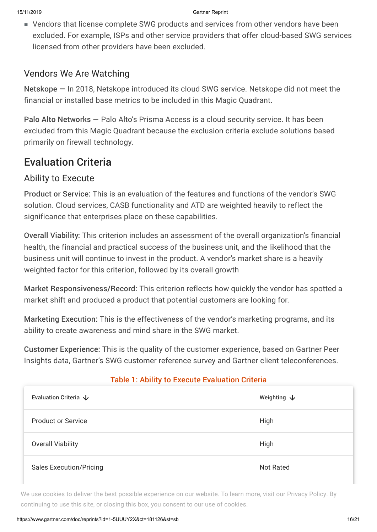Vendors that license complete SWG products and services from other vendors have been ■ excluded. For example, ISPs and other service providers that offer cloud-based SWG services licensed from other providers have been excluded.

### Vendors We Are Watching

Netskope — In 2018, Netskope introduced its cloud SWG service. Netskope did not meet the financial or installed base metrics to be included in this Magic Quadrant.

Palo Alto Networks - Palo Alto's Prisma Access is a cloud security service. It has been excluded from this Magic Quadrant because the exclusion criteria exclude solutions based primarily on firewall technology.

## Evaluation Criteria

### Ability to Execute

Product or Service: This is an evaluation of the features and functions of the vendor's SWG solution. Cloud services, CASB functionality and ATD are weighted heavily to reflect the significance that enterprises place on these capabilities.

Overall Viability: This criterion includes an assessment of the overall organization's financial health, the financial and practical success of the business unit, and the likelihood that the business unit will continue to invest in the product. A vendor's market share is a heavily weighted factor for this criterion, followed by its overall growth

Market Responsiveness/Record: This criterion reflects how quickly the vendor has spotted a market shift and produced a product that potential customers are looking for.

Marketing Execution: This is the effectiveness of the vendor's marketing programs, and its ability to create awareness and mind share in the SWG market.

Customer Experience: This is the quality of the customer experience, based on Gartner Peer Insights data, Gartner's SWG customer reference survey and Gartner client teleconferences.

#### Table 1: Ability to Execute Evaluation Criteria

| Evaluation Criteria $\downarrow$ | Weighting $\downarrow$ |
|----------------------------------|------------------------|
| <b>Product or Service</b>        | High                   |
| <b>Overall Viability</b>         | High                   |
| <b>Sales Execution/Pricing</b>   | <b>Not Rated</b>       |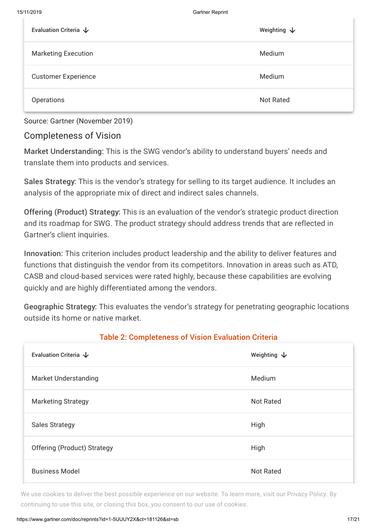| Evaluation Criteria $\downarrow$ | Weighting $\downarrow$ |
|----------------------------------|------------------------|
| <b>Marketing Execution</b>       | Medium                 |
| <b>Customer Experience</b>       | Medium                 |
| Operations                       | <b>Not Rated</b>       |

Source: Gartner (November 2019)

### Completeness of Vision

Market Understanding: This is the SWG vendor's ability to understand buyers' needs and translate them into products and services.

Sales Strategy: This is the vendor's strategy for selling to its target audience. It includes an analysis of the appropriate mix of direct and indirect sales channels.

Offering (Product) Strategy: This is an evaluation of the vendor's strategic product direction and its roadmap for SWG. The product strategy should address trends that are reflected in Gartner's client inquiries.

Innovation: This criterion includes product leadership and the ability to deliver features and functions that distinguish the vendor from its competitors. Innovation in areas such as ATD, CASB and cloud-based services were rated highly, because these capabilities are evolving quickly and are highly differentiated among the vendors.

Geographic Strategy: This evaluates the vendor's strategy for penetrating geographic locations outside its home or native market.

| Evaluation Criteria $\downarrow$   | Weighting $\downarrow$ |
|------------------------------------|------------------------|
| <b>Market Understanding</b>        | Medium                 |
| <b>Marketing Strategy</b>          | <b>Not Rated</b>       |
| <b>Sales Strategy</b>              | High                   |
| <b>Offering (Product) Strategy</b> | High                   |
| <b>Business Model</b>              | <b>Not Rated</b>       |

#### Table 2: Completeness of Vision Evaluation Criteria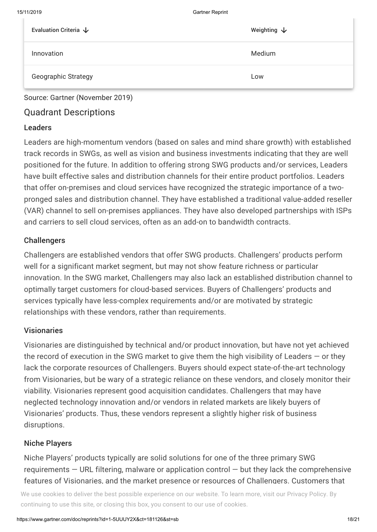| Evaluation Criteria $\downarrow$ | Weighting $\downarrow$ |
|----------------------------------|------------------------|
| Innovation                       | Medium                 |
| <b>Geographic Strategy</b>       | Low                    |

Source: Gartner (November 2019)

## Quadrant Descriptions

#### Leaders

Leaders are high-momentum vendors (based on sales and mind share growth) with established track records in SWGs, as well as vision and business investments indicating that they are well positioned for the future. In addition to offering strong SWG products and/or services, Leaders have built effective sales and distribution channels for their entire product portfolios. Leaders that offer on-premises and cloud services have recognized the strategic importance of a twopronged sales and distribution channel. They have established a traditional value-added reseller (VAR) channel to sell on-premises appliances. They have also developed partnerships with ISPs and carriers to sell cloud services, often as an add-on to bandwidth contracts.

#### **Challengers**

Challengers are established vendors that offer SWG products. Challengers' products perform well for a significant market segment, but may not show feature richness or particular innovation. In the SWG market, Challengers may also lack an established distribution channel to optimally target customers for cloud-based services. Buyers of Challengers' products and services typically have less-complex requirements and/or are motivated by strategic relationships with these vendors, rather than requirements.

#### Visionaries

Visionaries are distinguished by technical and/or product innovation, but have not yet achieved the record of execution in the SWG market to give them the high visibility of Leaders  $-$  or they lack the corporate resources of Challengers. Buyers should expect state-of-the-art technology from Visionaries, but be wary of a strategic reliance on these vendors, and closely monitor their viability. Visionaries represent good acquisition candidates. Challengers that may have neglected technology innovation and/or vendors in related markets are likely buyers of Visionaries' products. Thus, these vendors represent a slightly higher risk of business disruptions.

#### Niche Players

Niche Players' products typically are solid solutions for one of the three primary SWG requirements  $-$  URL filtering, malware or application control  $-$  but they lack the comprehensive features of Visionaries, and the market presence or resources of Challengers. Customers that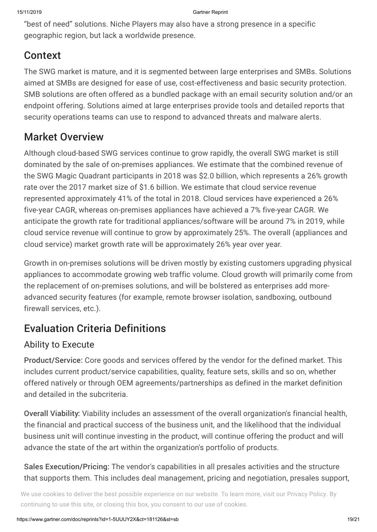"best of need" solutions. Niche Players may also have a strong presence in a specific geographic region, but lack a worldwide presence.

## Context

The SWG market is mature, and it is segmented between large enterprises and SMBs. Solutions aimed at SMBs are designed for ease of use, cost-effectiveness and basic security protection. SMB solutions are often offered as a bundled package with an email security solution and/or an endpoint offering. Solutions aimed at large enterprises provide tools and detailed reports that security operations teams can use to respond to advanced threats and malware alerts.

## Market Overview

Although cloud-based SWG services continue to grow rapidly, the overall SWG market is still dominated by the sale of on-premises appliances. We estimate that the combined revenue of the SWG Magic Quadrant participants in 2018 was \$2.0 billion, which represents a 26% growth rate over the 2017 market size of \$1.6 billion. We estimate that cloud service revenue represented approximately 41% of the total in 2018. Cloud services have experienced a 26% five-year CAGR, whereas on-premises appliances have achieved a 7% five-year CAGR. We anticipate the growth rate for traditional appliances/software will be around 7% in 2019, while cloud service revenue will continue to grow by approximately 25%. The overall (appliances and cloud service) market growth rate will be approximately 26% year over year.

Growth in on-premises solutions will be driven mostly by existing customers upgrading physical appliances to accommodate growing web traffic volume. Cloud growth will primarily come from the replacement of on-premises solutions, and will be bolstered as enterprises add moreadvanced security features (for example, remote browser isolation, sandboxing, outbound firewall services, etc.).

## Evaluation Criteria Definitions

## Ability to Execute

Product/Service: Core goods and services offered by the vendor for the defined market. This includes current product/service capabilities, quality, feature sets, skills and so on, whether offered natively or through OEM agreements/partnerships as defined in the market definition and detailed in the subcriteria.

Overall Viability: Viability includes an assessment of the overall organization's financial health, the financial and practical success of the business unit, and the likelihood that the individual business unit will continue investing in the product, will continue offering the product and will advance the state of the art within the organization's portfolio of products.

Sales Execution/Pricing: The vendor's capabilities in all presales activities and the structure that supports them. This includes deal management, pricing and negotiation, presales support,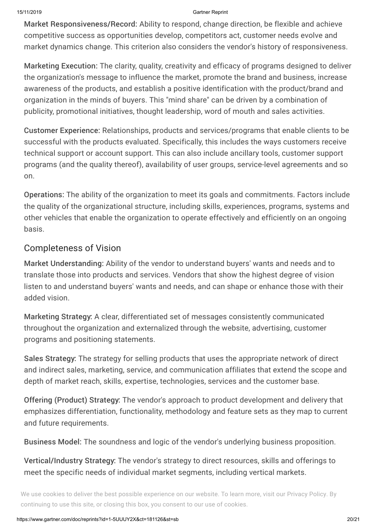Market Responsiveness/Record: Ability to respond, change direction, be flexible and achieve competitive success as opportunities develop, competitors act, customer needs evolve and market dynamics change. This criterion also considers the vendor's history of responsiveness.

Marketing Execution: The clarity, quality, creativity and efficacy of programs designed to deliver the organization's message to influence the market, promote the brand and business, increase awareness of the products, and establish a positive identification with the product/brand and organization in the minds of buyers. This "mind share" can be driven by a combination of publicity, promotional initiatives, thought leadership, word of mouth and sales activities.

Customer Experience: Relationships, products and services/programs that enable clients to be successful with the products evaluated. Specifically, this includes the ways customers receive technical support or account support. This can also include ancillary tools, customer support programs (and the quality thereof), availability of user groups, service-level agreements and so on.

Operations: The ability of the organization to meet its goals and commitments. Factors include the quality of the organizational structure, including skills, experiences, programs, systems and other vehicles that enable the organization to operate effectively and efficiently on an ongoing basis.

### Completeness of Vision

Market Understanding: Ability of the vendor to understand buyers' wants and needs and to translate those into products and services. Vendors that show the highest degree of vision listen to and understand buyers' wants and needs, and can shape or enhance those with their added vision.

Marketing Strategy: A clear, differentiated set of messages consistently communicated throughout the organization and externalized through the website, advertising, customer programs and positioning statements.

Sales Strategy: The strategy for selling products that uses the appropriate network of direct and indirect sales, marketing, service, and communication affiliates that extend the scope and depth of market reach, skills, expertise, technologies, services and the customer base.

Offering (Product) Strategy: The vendor's approach to product development and delivery that emphasizes differentiation, functionality, methodology and feature sets as they map to current and future requirements.

Business Model: The soundness and logic of the vendor's underlying business proposition.

Vertical/Industry Strategy: The vendor's strategy to direct resources, skills and offerings to meet the specific needs of individual market segments, including vertical markets.